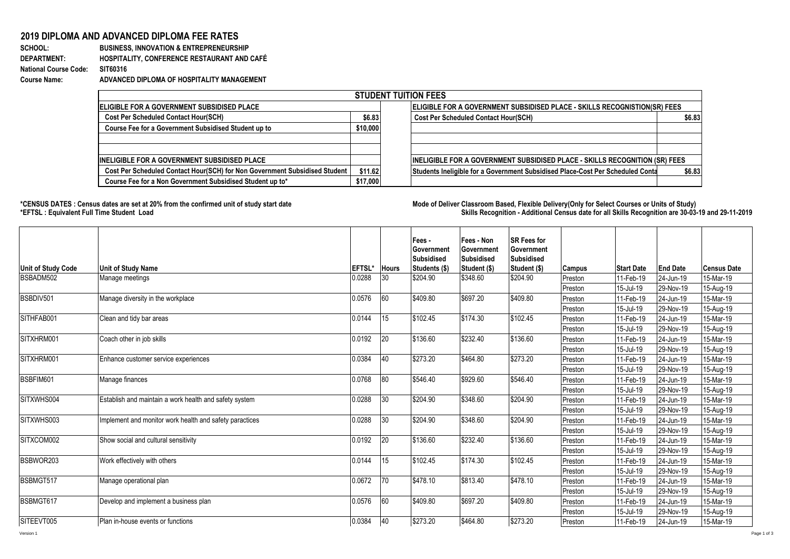## **2019 DIPLOMA AND ADVANCED DIPLOMA FEE RATES**

**SCHOOL: BUSINESS, INNOVATION & ENTREPRENEURSHIP DEPARTMENT: HOSPITALITY, CONFERENCE RESTAURANT AND CAFÉ National Course Code: Course Name: ADVANCED DIPLOMA OF HOSPITALITY MANAGEMENT**

| <b>STUDENT TUITION FEES</b>                                                |          |                                                                                          |  |  |  |  |  |  |
|----------------------------------------------------------------------------|----------|------------------------------------------------------------------------------------------|--|--|--|--|--|--|
| <b>IELIGIBLE FOR A GOVERNMENT SUBSIDISED PLACE</b>                         |          | <b>ELIGIBLE FOR A GOVERNMENT SUBSIDISED PLACE - SKILLS RECOGNISTION(SR) FEES</b>         |  |  |  |  |  |  |
| <b>Cost Per Scheduled Contact Hour(SCH)</b>                                | \$6.83   | <b>Cost Per Scheduled Contact Hour(SCH)</b><br>\$6.83                                    |  |  |  |  |  |  |
| Course Fee for a Government Subsidised Student up to                       | \$10,000 |                                                                                          |  |  |  |  |  |  |
|                                                                            |          |                                                                                          |  |  |  |  |  |  |
|                                                                            |          |                                                                                          |  |  |  |  |  |  |
| INELIGIBLE FOR A GOVERNMENT SUBSIDISED PLACE                               |          | INELIGIBLE FOR A GOVERNMENT SUBSIDISED PLACE - SKILLS RECOGNITION (SR) FEES              |  |  |  |  |  |  |
| Cost Per Scheduled Contact Hour(SCH) for Non Government Subsidised Student | \$11.62  | Students Ineligible for a Government Subsidised Place-Cost Per Scheduled Conta<br>\$6.83 |  |  |  |  |  |  |
| Course Fee for a Non Government Subsidised Student up to*                  | \$17,000 |                                                                                          |  |  |  |  |  |  |

1000

**\*CENSUS DATES : Census dates are set at 20% from the confirmed unit of study start date Mode of Delivery:Classroom Based, Flexible Delivery(Only for Select Courses or Units of Study) \*EFTSL : Equivalent Full Time Student Load Skills Recognition - Additional Census date for all Skills Recognition are 30-03-19 and 29-11-2019** 

|                           |                                                         |               |              | Fees -<br>Government<br><b>Subsidised</b> | Fees - Non<br>Government<br>Subsidised | <b>SR Fees for</b><br>Government<br><b>Subsidised</b> |               |                   |                 |                    |
|---------------------------|---------------------------------------------------------|---------------|--------------|-------------------------------------------|----------------------------------------|-------------------------------------------------------|---------------|-------------------|-----------------|--------------------|
| <b>Unit of Study Code</b> | <b>Unit of Study Name</b>                               | <b>EFTSL*</b> | <b>Hours</b> | Students (\$)                             | Student (\$)                           | Student (\$)                                          | <b>Campus</b> | <b>Start Date</b> | <b>End Date</b> | <b>Census Date</b> |
| BSBADM502                 | Manage meetings                                         | 0.0288        | 30           | \$204.90                                  | \$348.60                               | \$204.90                                              | Preston       | 11-Feb-19         | 24-Jun-19       | 15-Mar-19          |
|                           |                                                         |               |              |                                           |                                        |                                                       | Preston       | 15-Jul-19         | 29-Nov-19       | 15-Aug-19          |
| BSBDIV501                 | Manage diversity in the workplace                       | 0.0576        | 60           | \$409.80                                  | \$697.20                               | \$409.80                                              | Preston       | 11-Feb-19         | 24-Jun-19       | 15-Mar-19          |
|                           |                                                         |               |              |                                           |                                        |                                                       | Preston       | 15-Jul-19         | 29-Nov-19       | 15-Aug-19          |
| SITHFAB001                | Clean and tidy bar areas                                | 0.0144        | 15           | \$102.45                                  | \$174.30                               | \$102.45                                              | Preston       | 11-Feb-19         | 24-Jun-19       | 15-Mar-19          |
|                           |                                                         |               |              |                                           |                                        |                                                       | Preston       | 15-Jul-19         | 29-Nov-19       | 15-Aug-19          |
| SITXHRM001                | Coach other in job skills                               | 0.0192        | 20           | \$136.60                                  | \$232.40                               | \$136.60                                              | Preston       | 11-Feb-19         | 24-Jun-19       | 15-Mar-19          |
|                           |                                                         |               |              |                                           |                                        |                                                       | Preston       | 15-Jul-19         | 29-Nov-19       | 15-Aug-19          |
| SITXHRM001                | Enhance customer service experiences                    | 0.0384        | 40           | \$273.20                                  | \$464.80                               | \$273.20                                              | Preston       | 11-Feb-19         | 24-Jun-19       | 15-Mar-19          |
|                           |                                                         |               |              |                                           |                                        |                                                       | Preston       | 15-Jul-19         | 29-Nov-19       | 15-Aug-19          |
| BSBFIM601                 | Manage finances                                         | 0.0768        | 80           | \$546.40                                  | \$929.60                               | \$546.40                                              | Preston       | 11-Feb-19         | 24-Jun-19       | 15-Mar-19          |
|                           |                                                         |               |              |                                           |                                        |                                                       | Preston       | 15-Jul-19         | 29-Nov-19       | 15-Aug-19          |
| SITXWHS004                | Establish and maintain a work health and safety system  | 0.0288        | 30           | \$204.90                                  | \$348.60                               | \$204.90                                              | Preston       | 11-Feb-19         | 24-Jun-19       | 15-Mar-19          |
|                           |                                                         |               |              |                                           |                                        |                                                       | Preston       | 15-Jul-19         | 29-Nov-19       | 15-Aug-19          |
| SITXWHS003                | Implement and monitor work health and safety paractices | 0.0288        | 30           | \$204.90                                  | \$348.60                               | \$204.90                                              | Preston       | 11-Feb-19         | 24-Jun-19       | 15-Mar-19          |
|                           |                                                         |               |              |                                           |                                        |                                                       | Preston       | 15-Jul-19         | 29-Nov-19       | 15-Aug-19          |
| SITXCOM002                | Show social and cultural sensitivity                    | 0.0192        | 20           | \$136.60                                  | \$232.40                               | \$136.60                                              | Preston       | 11-Feb-19         | 24-Jun-19       | 15-Mar-19          |
|                           |                                                         |               |              |                                           |                                        |                                                       | Preston       | 15-Jul-19         | 29-Nov-19       | 15-Aug-19          |
| BSBWOR203                 | Work effectively with others                            | 0.0144        | 15           | \$102.45                                  | \$174.30                               | \$102.45                                              | Preston       | 11-Feb-19         | 24-Jun-19       | 15-Mar-19          |
|                           |                                                         |               |              |                                           |                                        |                                                       | Preston       | 15-Jul-19         | 29-Nov-19       | 15-Aug-19          |
| BSBMGT517                 | Manage operational plan                                 | 0.0672        | 70           | \$478.10                                  | \$813.40                               | \$478.10                                              | Preston       | 11-Feb-19         | 24-Jun-19       | 15-Mar-19          |
|                           |                                                         |               |              |                                           |                                        |                                                       | Preston       | 15-Jul-19         | 29-Nov-19       | 15-Aug-19          |
| BSBMGT617                 | Develop and implement a business plan                   | 0.0576        | 60           | \$409.80                                  | \$697.20                               | \$409.80                                              | Preston       | 11-Feb-19         | 24-Jun-19       | 15-Mar-19          |
|                           |                                                         |               |              |                                           |                                        |                                                       | Preston       | 15-Jul-19         | 29-Nov-19       | 15-Aug-19          |
| SITEEVT005                | Plan in-house events or functions                       | 0.0384        | 40           | \$273.20                                  | \$464.80                               | \$273.20                                              | Preston       | 11-Feb-19         | 24-Jun-19       | 15-Mar-19          |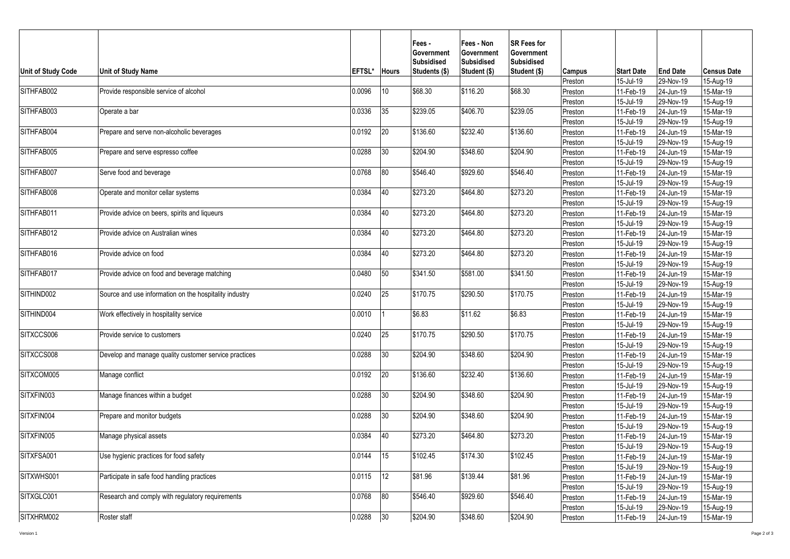| 15-Jul-19<br>29-Nov-19<br>15-Aug-19<br>Preston<br>SITHFAB002<br>\$68.30<br>Provide responsible service of alcohol<br>10<br>\$116.20<br>\$68.30<br>0.0096<br>11-Feb-19<br>24-Jun-19<br>15-Mar-19<br>Preston<br>15-Jul-19<br>29-Nov-19<br>15-Aug-19<br>Preston<br>SITHFAB003<br>\$239.05<br>\$239.05<br>0.0336<br>35<br>\$406.70<br>11-Feb-19<br>15-Mar-19<br>Operate a bar<br>24-Jun-19<br>Preston<br>15-Aug-19<br>15-Jul-19<br>29-Nov-19<br>Preston<br>SITHFAB004<br>0.0192<br>20<br>\$136.60<br>\$232.40<br>\$136.60<br>15-Mar-19<br>Prepare and serve non-alcoholic beverages<br>11-Feb-19<br>24-Jun-19<br>Preston<br>15-Jul-19<br>29-Nov-19<br>15-Aug-19<br>Preston<br>SITHFAB005<br>30<br>\$204.90<br>\$348.60<br>\$204.90<br>0.0288<br>$15-Mar-19$<br>Prepare and serve espresso coffee<br>11-Feb-19<br>24-Jun-19<br>Preston<br>15-Jul-19<br>29-Nov-19<br>15-Aug-19<br>Preston<br>SITHFAB007<br>\$546.40<br>\$546.40<br>Serve food and beverage<br>0.0768<br>80<br>\$929.60<br>15-Mar-19<br>Preston<br>11-Feb-19<br>24-Jun-19<br>15-Aug-19<br>15-Jul-19<br>29-Nov-19<br>Preston<br>SITHFAB008<br>\$273.20<br>0.0384<br>40<br>\$273.20<br>\$464.80<br>Operate and monitor cellar systems<br>11-Feb-19<br>24-Jun-19<br>15-Mar-19<br>Preston<br>15-Jul-19<br>29-Nov-19<br>15-Aug-19<br>Preston<br>SITHFAB011<br>\$273.20<br>\$273.20<br>0.0384<br>40<br>\$464.80<br>Provide advice on beers, spirits and liqueurs<br>11-Feb-19<br>15-Mar-19<br>24-Jun-19<br>Preston<br>15-Jul-19<br>29-Nov-19<br>15-Aug-19<br>Preston<br>SITHFAB012<br>40<br>\$273.20<br>\$273.20<br>Provide advice on Australian wines<br>0.0384<br>\$464.80<br>15-Mar-19<br>11-Feb-19<br>24-Jun-19<br>Preston<br>15-Jul-19<br>29-Nov-19<br>15-Aug-19<br>Preston<br>SITHFAB016<br>\$273.20<br>\$273.20<br>Provide advice on food<br>0.0384<br>40<br>\$464.80<br>$15-Mar-19$<br>11-Feb-19<br>24-Jun-19<br>Preston<br>15-Jul-19<br>29-Nov-19<br>15-Aug-19<br>Preston<br>SITHFAB017<br>\$341.50<br>0.0480<br>50<br>\$341.50<br>\$581.00<br>Provide advice on food and beverage matching<br>Preston<br>11-Feb-19<br>24-Jun-19<br>15-Mar-19<br>15-Jul-19<br>29-Nov-19<br>15-Aug-19<br>Preston<br>SITHIND002<br>25<br>\$170.75<br>\$290.50<br>\$170.75<br>Source and use information on the hospitality industry<br>0.0240<br>11-Feb-19<br>24-Jun-19<br>15-Mar-19<br>Preston<br>15-Jul-19<br>29-Nov-19<br>15-Aug-19<br>Preston<br>SITHIND004<br>\$6.83<br>\$6.83<br>Work effectively in hospitality service<br>0.0010<br>\$11.62<br>11-Feb-19<br>15-Mar-19<br>24-Jun-19<br>Preston<br>15-Jul-19<br>29-Nov-19<br>15-Aug-19<br>Preston<br>SITXCCS006<br>25<br>\$170.75<br>\$290.50<br>\$170.75<br>Provide service to customers<br>0.0240<br>15-Mar-19<br>11-Feb-19<br>24-Jun-19<br>Preston<br>15-Jul-19<br>15-Aug-19<br>29-Nov-19<br>Preston<br>SITXCCS008<br>30<br>\$204.90<br>\$348.60<br>\$204.90<br>0.0288<br>15-Mar-19<br>Develop and manage quality customer service practices<br>11-Feb-19<br>24-Jun-19<br>Preston<br>15-Jul-19<br>29-Nov-19<br>15-Aug-19<br>Preston<br>SITXCOM005<br>\$232.40<br>0.0192<br>20<br>\$136.60<br>\$136.60<br>Manage conflict<br>Preston<br>11-Feb-19<br>24-Jun-19<br>15-Mar-19<br>$15-Aug-19$<br>15-Jul-19<br>29-Nov-19<br>Preston<br>SITXFIN003<br>\$204.90<br>Manage finances within a budget<br>30<br>\$204.90<br>\$348.60<br>0.0288<br>11-Feb-19<br>24-Jun-19<br>15-Mar-19<br>Preston<br>15-Jul-19<br>29-Nov-19<br>15-Aug-19<br>Preston<br>\$204.90<br>\$204.90<br>0.0288<br>30<br>\$348.60<br>11-Feb-19<br>15-Mar-19<br>Prepare and monitor budgets<br>24-Jun-19<br>Preston<br>15-Jul-19<br>15-Aug-19<br>Preston<br>29-Nov-19<br>SITXFIN005<br>40<br>\$273.20<br>\$464.80<br>\$273.20<br>0.0384<br>24-Jun-19<br>$15$ -Mar-19<br>Manage physical assets<br>11-Feb-19<br>Preston<br>15-Jul-19<br>29-Nov-19<br>15-Aug-19<br>Preston<br>SITXFSA001<br>0.0144<br>15<br>\$102.45<br>\$174.30<br>\$102.45<br>Use hygienic practices for food safety<br>24-Jun-19<br>Preston<br>11-Feb-19<br>15-Mar-19<br>15-Jul-19<br>29-Nov-19<br>15-Aug-19<br>Preston<br>SITXWHS001<br>0.0115<br>12<br>\$81.96<br>\$81.96<br>Participate in safe food handling practices<br>\$139.44<br>15-Mar-19<br>Preston<br>11-Feb-19<br>24-Jun-19<br>15-Jul-19<br>29-Nov-19<br>15-Aug-19<br>Preston<br>SITXGLC001<br>80<br>0.0768<br>\$929.60<br>Research and comply with regulatory requirements<br>\$546.40<br>\$546.40<br>11-Feb-19<br>15-Mar-19<br>24-Jun-19<br>Preston<br>15-Jul-19<br>29-Nov-19<br>15-Aug-19<br>Preston | <b>Unit of Study Code</b> | Unit of Study Name | EFTSL* Hours |    | Fees -<br><b>Government</b><br><b>Subsidised</b><br>Students (\$) | Fees - Non<br>Government<br><b>Subsidised</b><br>Student (\$) | <b>SR Fees for</b><br><b>Government</b><br><b>Subsidised</b><br>Student (\$) | Campus  | <b>Start Date</b> | <b>End Date</b> | lCensus Date |
|---------------------------------------------------------------------------------------------------------------------------------------------------------------------------------------------------------------------------------------------------------------------------------------------------------------------------------------------------------------------------------------------------------------------------------------------------------------------------------------------------------------------------------------------------------------------------------------------------------------------------------------------------------------------------------------------------------------------------------------------------------------------------------------------------------------------------------------------------------------------------------------------------------------------------------------------------------------------------------------------------------------------------------------------------------------------------------------------------------------------------------------------------------------------------------------------------------------------------------------------------------------------------------------------------------------------------------------------------------------------------------------------------------------------------------------------------------------------------------------------------------------------------------------------------------------------------------------------------------------------------------------------------------------------------------------------------------------------------------------------------------------------------------------------------------------------------------------------------------------------------------------------------------------------------------------------------------------------------------------------------------------------------------------------------------------------------------------------------------------------------------------------------------------------------------------------------------------------------------------------------------------------------------------------------------------------------------------------------------------------------------------------------------------------------------------------------------------------------------------------------------------------------------------------------------------------------------------------------------------------------------------------------------------------------------------------------------------------------------------------------------------------------------------------------------------------------------------------------------------------------------------------------------------------------------------------------------------------------------------------------------------------------------------------------------------------------------------------------------------------------------------------------------------------------------------------------------------------------------------------------------------------------------------------------------------------------------------------------------------------------------------------------------------------------------------------------------------------------------------------------------------------------------------------------------------------------------------------------------------------------------------------------------------------------------------------------------------------------------------------------------------------------------------------------------------------------------------------------------------------------------------------------------------------------------------------------------------------------------------------------------------------------------------------------------------------------------------------------------------------------------------------------------------------------------------------------------------------------------------------------------------------------------------------------------------------------------------------------------------------------------------------------------------------------------------------------------------------------------------------------|---------------------------|--------------------|--------------|----|-------------------------------------------------------------------|---------------------------------------------------------------|------------------------------------------------------------------------------|---------|-------------------|-----------------|--------------|
|                                                                                                                                                                                                                                                                                                                                                                                                                                                                                                                                                                                                                                                                                                                                                                                                                                                                                                                                                                                                                                                                                                                                                                                                                                                                                                                                                                                                                                                                                                                                                                                                                                                                                                                                                                                                                                                                                                                                                                                                                                                                                                                                                                                                                                                                                                                                                                                                                                                                                                                                                                                                                                                                                                                                                                                                                                                                                                                                                                                                                                                                                                                                                                                                                                                                                                                                                                                                                                                                                                                                                                                                                                                                                                                                                                                                                                                                                                                                                                                                                                                                                                                                                                                                                                                                                                                                                                                                                                                                                                   |                           |                    |              |    |                                                                   |                                                               |                                                                              |         |                   |                 |              |
|                                                                                                                                                                                                                                                                                                                                                                                                                                                                                                                                                                                                                                                                                                                                                                                                                                                                                                                                                                                                                                                                                                                                                                                                                                                                                                                                                                                                                                                                                                                                                                                                                                                                                                                                                                                                                                                                                                                                                                                                                                                                                                                                                                                                                                                                                                                                                                                                                                                                                                                                                                                                                                                                                                                                                                                                                                                                                                                                                                                                                                                                                                                                                                                                                                                                                                                                                                                                                                                                                                                                                                                                                                                                                                                                                                                                                                                                                                                                                                                                                                                                                                                                                                                                                                                                                                                                                                                                                                                                                                   |                           |                    |              |    |                                                                   |                                                               |                                                                              |         |                   |                 |              |
|                                                                                                                                                                                                                                                                                                                                                                                                                                                                                                                                                                                                                                                                                                                                                                                                                                                                                                                                                                                                                                                                                                                                                                                                                                                                                                                                                                                                                                                                                                                                                                                                                                                                                                                                                                                                                                                                                                                                                                                                                                                                                                                                                                                                                                                                                                                                                                                                                                                                                                                                                                                                                                                                                                                                                                                                                                                                                                                                                                                                                                                                                                                                                                                                                                                                                                                                                                                                                                                                                                                                                                                                                                                                                                                                                                                                                                                                                                                                                                                                                                                                                                                                                                                                                                                                                                                                                                                                                                                                                                   |                           |                    |              |    |                                                                   |                                                               |                                                                              |         |                   |                 |              |
|                                                                                                                                                                                                                                                                                                                                                                                                                                                                                                                                                                                                                                                                                                                                                                                                                                                                                                                                                                                                                                                                                                                                                                                                                                                                                                                                                                                                                                                                                                                                                                                                                                                                                                                                                                                                                                                                                                                                                                                                                                                                                                                                                                                                                                                                                                                                                                                                                                                                                                                                                                                                                                                                                                                                                                                                                                                                                                                                                                                                                                                                                                                                                                                                                                                                                                                                                                                                                                                                                                                                                                                                                                                                                                                                                                                                                                                                                                                                                                                                                                                                                                                                                                                                                                                                                                                                                                                                                                                                                                   |                           |                    |              |    |                                                                   |                                                               |                                                                              |         |                   |                 |              |
|                                                                                                                                                                                                                                                                                                                                                                                                                                                                                                                                                                                                                                                                                                                                                                                                                                                                                                                                                                                                                                                                                                                                                                                                                                                                                                                                                                                                                                                                                                                                                                                                                                                                                                                                                                                                                                                                                                                                                                                                                                                                                                                                                                                                                                                                                                                                                                                                                                                                                                                                                                                                                                                                                                                                                                                                                                                                                                                                                                                                                                                                                                                                                                                                                                                                                                                                                                                                                                                                                                                                                                                                                                                                                                                                                                                                                                                                                                                                                                                                                                                                                                                                                                                                                                                                                                                                                                                                                                                                                                   |                           |                    |              |    |                                                                   |                                                               |                                                                              |         |                   |                 |              |
|                                                                                                                                                                                                                                                                                                                                                                                                                                                                                                                                                                                                                                                                                                                                                                                                                                                                                                                                                                                                                                                                                                                                                                                                                                                                                                                                                                                                                                                                                                                                                                                                                                                                                                                                                                                                                                                                                                                                                                                                                                                                                                                                                                                                                                                                                                                                                                                                                                                                                                                                                                                                                                                                                                                                                                                                                                                                                                                                                                                                                                                                                                                                                                                                                                                                                                                                                                                                                                                                                                                                                                                                                                                                                                                                                                                                                                                                                                                                                                                                                                                                                                                                                                                                                                                                                                                                                                                                                                                                                                   |                           |                    |              |    |                                                                   |                                                               |                                                                              |         |                   |                 |              |
|                                                                                                                                                                                                                                                                                                                                                                                                                                                                                                                                                                                                                                                                                                                                                                                                                                                                                                                                                                                                                                                                                                                                                                                                                                                                                                                                                                                                                                                                                                                                                                                                                                                                                                                                                                                                                                                                                                                                                                                                                                                                                                                                                                                                                                                                                                                                                                                                                                                                                                                                                                                                                                                                                                                                                                                                                                                                                                                                                                                                                                                                                                                                                                                                                                                                                                                                                                                                                                                                                                                                                                                                                                                                                                                                                                                                                                                                                                                                                                                                                                                                                                                                                                                                                                                                                                                                                                                                                                                                                                   |                           |                    |              |    |                                                                   |                                                               |                                                                              |         |                   |                 |              |
|                                                                                                                                                                                                                                                                                                                                                                                                                                                                                                                                                                                                                                                                                                                                                                                                                                                                                                                                                                                                                                                                                                                                                                                                                                                                                                                                                                                                                                                                                                                                                                                                                                                                                                                                                                                                                                                                                                                                                                                                                                                                                                                                                                                                                                                                                                                                                                                                                                                                                                                                                                                                                                                                                                                                                                                                                                                                                                                                                                                                                                                                                                                                                                                                                                                                                                                                                                                                                                                                                                                                                                                                                                                                                                                                                                                                                                                                                                                                                                                                                                                                                                                                                                                                                                                                                                                                                                                                                                                                                                   |                           |                    |              |    |                                                                   |                                                               |                                                                              |         |                   |                 |              |
|                                                                                                                                                                                                                                                                                                                                                                                                                                                                                                                                                                                                                                                                                                                                                                                                                                                                                                                                                                                                                                                                                                                                                                                                                                                                                                                                                                                                                                                                                                                                                                                                                                                                                                                                                                                                                                                                                                                                                                                                                                                                                                                                                                                                                                                                                                                                                                                                                                                                                                                                                                                                                                                                                                                                                                                                                                                                                                                                                                                                                                                                                                                                                                                                                                                                                                                                                                                                                                                                                                                                                                                                                                                                                                                                                                                                                                                                                                                                                                                                                                                                                                                                                                                                                                                                                                                                                                                                                                                                                                   |                           |                    |              |    |                                                                   |                                                               |                                                                              |         |                   |                 |              |
|                                                                                                                                                                                                                                                                                                                                                                                                                                                                                                                                                                                                                                                                                                                                                                                                                                                                                                                                                                                                                                                                                                                                                                                                                                                                                                                                                                                                                                                                                                                                                                                                                                                                                                                                                                                                                                                                                                                                                                                                                                                                                                                                                                                                                                                                                                                                                                                                                                                                                                                                                                                                                                                                                                                                                                                                                                                                                                                                                                                                                                                                                                                                                                                                                                                                                                                                                                                                                                                                                                                                                                                                                                                                                                                                                                                                                                                                                                                                                                                                                                                                                                                                                                                                                                                                                                                                                                                                                                                                                                   |                           |                    |              |    |                                                                   |                                                               |                                                                              |         |                   |                 |              |
|                                                                                                                                                                                                                                                                                                                                                                                                                                                                                                                                                                                                                                                                                                                                                                                                                                                                                                                                                                                                                                                                                                                                                                                                                                                                                                                                                                                                                                                                                                                                                                                                                                                                                                                                                                                                                                                                                                                                                                                                                                                                                                                                                                                                                                                                                                                                                                                                                                                                                                                                                                                                                                                                                                                                                                                                                                                                                                                                                                                                                                                                                                                                                                                                                                                                                                                                                                                                                                                                                                                                                                                                                                                                                                                                                                                                                                                                                                                                                                                                                                                                                                                                                                                                                                                                                                                                                                                                                                                                                                   |                           |                    |              |    |                                                                   |                                                               |                                                                              |         |                   |                 |              |
|                                                                                                                                                                                                                                                                                                                                                                                                                                                                                                                                                                                                                                                                                                                                                                                                                                                                                                                                                                                                                                                                                                                                                                                                                                                                                                                                                                                                                                                                                                                                                                                                                                                                                                                                                                                                                                                                                                                                                                                                                                                                                                                                                                                                                                                                                                                                                                                                                                                                                                                                                                                                                                                                                                                                                                                                                                                                                                                                                                                                                                                                                                                                                                                                                                                                                                                                                                                                                                                                                                                                                                                                                                                                                                                                                                                                                                                                                                                                                                                                                                                                                                                                                                                                                                                                                                                                                                                                                                                                                                   |                           |                    |              |    |                                                                   |                                                               |                                                                              |         |                   |                 |              |
|                                                                                                                                                                                                                                                                                                                                                                                                                                                                                                                                                                                                                                                                                                                                                                                                                                                                                                                                                                                                                                                                                                                                                                                                                                                                                                                                                                                                                                                                                                                                                                                                                                                                                                                                                                                                                                                                                                                                                                                                                                                                                                                                                                                                                                                                                                                                                                                                                                                                                                                                                                                                                                                                                                                                                                                                                                                                                                                                                                                                                                                                                                                                                                                                                                                                                                                                                                                                                                                                                                                                                                                                                                                                                                                                                                                                                                                                                                                                                                                                                                                                                                                                                                                                                                                                                                                                                                                                                                                                                                   |                           |                    |              |    |                                                                   |                                                               |                                                                              |         |                   |                 |              |
|                                                                                                                                                                                                                                                                                                                                                                                                                                                                                                                                                                                                                                                                                                                                                                                                                                                                                                                                                                                                                                                                                                                                                                                                                                                                                                                                                                                                                                                                                                                                                                                                                                                                                                                                                                                                                                                                                                                                                                                                                                                                                                                                                                                                                                                                                                                                                                                                                                                                                                                                                                                                                                                                                                                                                                                                                                                                                                                                                                                                                                                                                                                                                                                                                                                                                                                                                                                                                                                                                                                                                                                                                                                                                                                                                                                                                                                                                                                                                                                                                                                                                                                                                                                                                                                                                                                                                                                                                                                                                                   |                           |                    |              |    |                                                                   |                                                               |                                                                              |         |                   |                 |              |
|                                                                                                                                                                                                                                                                                                                                                                                                                                                                                                                                                                                                                                                                                                                                                                                                                                                                                                                                                                                                                                                                                                                                                                                                                                                                                                                                                                                                                                                                                                                                                                                                                                                                                                                                                                                                                                                                                                                                                                                                                                                                                                                                                                                                                                                                                                                                                                                                                                                                                                                                                                                                                                                                                                                                                                                                                                                                                                                                                                                                                                                                                                                                                                                                                                                                                                                                                                                                                                                                                                                                                                                                                                                                                                                                                                                                                                                                                                                                                                                                                                                                                                                                                                                                                                                                                                                                                                                                                                                                                                   |                           |                    |              |    |                                                                   |                                                               |                                                                              |         |                   |                 |              |
|                                                                                                                                                                                                                                                                                                                                                                                                                                                                                                                                                                                                                                                                                                                                                                                                                                                                                                                                                                                                                                                                                                                                                                                                                                                                                                                                                                                                                                                                                                                                                                                                                                                                                                                                                                                                                                                                                                                                                                                                                                                                                                                                                                                                                                                                                                                                                                                                                                                                                                                                                                                                                                                                                                                                                                                                                                                                                                                                                                                                                                                                                                                                                                                                                                                                                                                                                                                                                                                                                                                                                                                                                                                                                                                                                                                                                                                                                                                                                                                                                                                                                                                                                                                                                                                                                                                                                                                                                                                                                                   |                           |                    |              |    |                                                                   |                                                               |                                                                              |         |                   |                 |              |
|                                                                                                                                                                                                                                                                                                                                                                                                                                                                                                                                                                                                                                                                                                                                                                                                                                                                                                                                                                                                                                                                                                                                                                                                                                                                                                                                                                                                                                                                                                                                                                                                                                                                                                                                                                                                                                                                                                                                                                                                                                                                                                                                                                                                                                                                                                                                                                                                                                                                                                                                                                                                                                                                                                                                                                                                                                                                                                                                                                                                                                                                                                                                                                                                                                                                                                                                                                                                                                                                                                                                                                                                                                                                                                                                                                                                                                                                                                                                                                                                                                                                                                                                                                                                                                                                                                                                                                                                                                                                                                   |                           |                    |              |    |                                                                   |                                                               |                                                                              |         |                   |                 |              |
|                                                                                                                                                                                                                                                                                                                                                                                                                                                                                                                                                                                                                                                                                                                                                                                                                                                                                                                                                                                                                                                                                                                                                                                                                                                                                                                                                                                                                                                                                                                                                                                                                                                                                                                                                                                                                                                                                                                                                                                                                                                                                                                                                                                                                                                                                                                                                                                                                                                                                                                                                                                                                                                                                                                                                                                                                                                                                                                                                                                                                                                                                                                                                                                                                                                                                                                                                                                                                                                                                                                                                                                                                                                                                                                                                                                                                                                                                                                                                                                                                                                                                                                                                                                                                                                                                                                                                                                                                                                                                                   |                           |                    |              |    |                                                                   |                                                               |                                                                              |         |                   |                 |              |
|                                                                                                                                                                                                                                                                                                                                                                                                                                                                                                                                                                                                                                                                                                                                                                                                                                                                                                                                                                                                                                                                                                                                                                                                                                                                                                                                                                                                                                                                                                                                                                                                                                                                                                                                                                                                                                                                                                                                                                                                                                                                                                                                                                                                                                                                                                                                                                                                                                                                                                                                                                                                                                                                                                                                                                                                                                                                                                                                                                                                                                                                                                                                                                                                                                                                                                                                                                                                                                                                                                                                                                                                                                                                                                                                                                                                                                                                                                                                                                                                                                                                                                                                                                                                                                                                                                                                                                                                                                                                                                   |                           |                    |              |    |                                                                   |                                                               |                                                                              |         |                   |                 |              |
|                                                                                                                                                                                                                                                                                                                                                                                                                                                                                                                                                                                                                                                                                                                                                                                                                                                                                                                                                                                                                                                                                                                                                                                                                                                                                                                                                                                                                                                                                                                                                                                                                                                                                                                                                                                                                                                                                                                                                                                                                                                                                                                                                                                                                                                                                                                                                                                                                                                                                                                                                                                                                                                                                                                                                                                                                                                                                                                                                                                                                                                                                                                                                                                                                                                                                                                                                                                                                                                                                                                                                                                                                                                                                                                                                                                                                                                                                                                                                                                                                                                                                                                                                                                                                                                                                                                                                                                                                                                                                                   |                           |                    |              |    |                                                                   |                                                               |                                                                              |         |                   |                 |              |
|                                                                                                                                                                                                                                                                                                                                                                                                                                                                                                                                                                                                                                                                                                                                                                                                                                                                                                                                                                                                                                                                                                                                                                                                                                                                                                                                                                                                                                                                                                                                                                                                                                                                                                                                                                                                                                                                                                                                                                                                                                                                                                                                                                                                                                                                                                                                                                                                                                                                                                                                                                                                                                                                                                                                                                                                                                                                                                                                                                                                                                                                                                                                                                                                                                                                                                                                                                                                                                                                                                                                                                                                                                                                                                                                                                                                                                                                                                                                                                                                                                                                                                                                                                                                                                                                                                                                                                                                                                                                                                   |                           |                    |              |    |                                                                   |                                                               |                                                                              |         |                   |                 |              |
|                                                                                                                                                                                                                                                                                                                                                                                                                                                                                                                                                                                                                                                                                                                                                                                                                                                                                                                                                                                                                                                                                                                                                                                                                                                                                                                                                                                                                                                                                                                                                                                                                                                                                                                                                                                                                                                                                                                                                                                                                                                                                                                                                                                                                                                                                                                                                                                                                                                                                                                                                                                                                                                                                                                                                                                                                                                                                                                                                                                                                                                                                                                                                                                                                                                                                                                                                                                                                                                                                                                                                                                                                                                                                                                                                                                                                                                                                                                                                                                                                                                                                                                                                                                                                                                                                                                                                                                                                                                                                                   |                           |                    |              |    |                                                                   |                                                               |                                                                              |         |                   |                 |              |
|                                                                                                                                                                                                                                                                                                                                                                                                                                                                                                                                                                                                                                                                                                                                                                                                                                                                                                                                                                                                                                                                                                                                                                                                                                                                                                                                                                                                                                                                                                                                                                                                                                                                                                                                                                                                                                                                                                                                                                                                                                                                                                                                                                                                                                                                                                                                                                                                                                                                                                                                                                                                                                                                                                                                                                                                                                                                                                                                                                                                                                                                                                                                                                                                                                                                                                                                                                                                                                                                                                                                                                                                                                                                                                                                                                                                                                                                                                                                                                                                                                                                                                                                                                                                                                                                                                                                                                                                                                                                                                   |                           |                    |              |    |                                                                   |                                                               |                                                                              |         |                   |                 |              |
|                                                                                                                                                                                                                                                                                                                                                                                                                                                                                                                                                                                                                                                                                                                                                                                                                                                                                                                                                                                                                                                                                                                                                                                                                                                                                                                                                                                                                                                                                                                                                                                                                                                                                                                                                                                                                                                                                                                                                                                                                                                                                                                                                                                                                                                                                                                                                                                                                                                                                                                                                                                                                                                                                                                                                                                                                                                                                                                                                                                                                                                                                                                                                                                                                                                                                                                                                                                                                                                                                                                                                                                                                                                                                                                                                                                                                                                                                                                                                                                                                                                                                                                                                                                                                                                                                                                                                                                                                                                                                                   |                           |                    |              |    |                                                                   |                                                               |                                                                              |         |                   |                 |              |
|                                                                                                                                                                                                                                                                                                                                                                                                                                                                                                                                                                                                                                                                                                                                                                                                                                                                                                                                                                                                                                                                                                                                                                                                                                                                                                                                                                                                                                                                                                                                                                                                                                                                                                                                                                                                                                                                                                                                                                                                                                                                                                                                                                                                                                                                                                                                                                                                                                                                                                                                                                                                                                                                                                                                                                                                                                                                                                                                                                                                                                                                                                                                                                                                                                                                                                                                                                                                                                                                                                                                                                                                                                                                                                                                                                                                                                                                                                                                                                                                                                                                                                                                                                                                                                                                                                                                                                                                                                                                                                   |                           |                    |              |    |                                                                   |                                                               |                                                                              |         |                   |                 |              |
|                                                                                                                                                                                                                                                                                                                                                                                                                                                                                                                                                                                                                                                                                                                                                                                                                                                                                                                                                                                                                                                                                                                                                                                                                                                                                                                                                                                                                                                                                                                                                                                                                                                                                                                                                                                                                                                                                                                                                                                                                                                                                                                                                                                                                                                                                                                                                                                                                                                                                                                                                                                                                                                                                                                                                                                                                                                                                                                                                                                                                                                                                                                                                                                                                                                                                                                                                                                                                                                                                                                                                                                                                                                                                                                                                                                                                                                                                                                                                                                                                                                                                                                                                                                                                                                                                                                                                                                                                                                                                                   |                           |                    |              |    |                                                                   |                                                               |                                                                              |         |                   |                 |              |
|                                                                                                                                                                                                                                                                                                                                                                                                                                                                                                                                                                                                                                                                                                                                                                                                                                                                                                                                                                                                                                                                                                                                                                                                                                                                                                                                                                                                                                                                                                                                                                                                                                                                                                                                                                                                                                                                                                                                                                                                                                                                                                                                                                                                                                                                                                                                                                                                                                                                                                                                                                                                                                                                                                                                                                                                                                                                                                                                                                                                                                                                                                                                                                                                                                                                                                                                                                                                                                                                                                                                                                                                                                                                                                                                                                                                                                                                                                                                                                                                                                                                                                                                                                                                                                                                                                                                                                                                                                                                                                   |                           |                    |              |    |                                                                   |                                                               |                                                                              |         |                   |                 |              |
|                                                                                                                                                                                                                                                                                                                                                                                                                                                                                                                                                                                                                                                                                                                                                                                                                                                                                                                                                                                                                                                                                                                                                                                                                                                                                                                                                                                                                                                                                                                                                                                                                                                                                                                                                                                                                                                                                                                                                                                                                                                                                                                                                                                                                                                                                                                                                                                                                                                                                                                                                                                                                                                                                                                                                                                                                                                                                                                                                                                                                                                                                                                                                                                                                                                                                                                                                                                                                                                                                                                                                                                                                                                                                                                                                                                                                                                                                                                                                                                                                                                                                                                                                                                                                                                                                                                                                                                                                                                                                                   |                           |                    |              |    |                                                                   |                                                               |                                                                              |         |                   |                 |              |
|                                                                                                                                                                                                                                                                                                                                                                                                                                                                                                                                                                                                                                                                                                                                                                                                                                                                                                                                                                                                                                                                                                                                                                                                                                                                                                                                                                                                                                                                                                                                                                                                                                                                                                                                                                                                                                                                                                                                                                                                                                                                                                                                                                                                                                                                                                                                                                                                                                                                                                                                                                                                                                                                                                                                                                                                                                                                                                                                                                                                                                                                                                                                                                                                                                                                                                                                                                                                                                                                                                                                                                                                                                                                                                                                                                                                                                                                                                                                                                                                                                                                                                                                                                                                                                                                                                                                                                                                                                                                                                   |                           |                    |              |    |                                                                   |                                                               |                                                                              |         |                   |                 |              |
|                                                                                                                                                                                                                                                                                                                                                                                                                                                                                                                                                                                                                                                                                                                                                                                                                                                                                                                                                                                                                                                                                                                                                                                                                                                                                                                                                                                                                                                                                                                                                                                                                                                                                                                                                                                                                                                                                                                                                                                                                                                                                                                                                                                                                                                                                                                                                                                                                                                                                                                                                                                                                                                                                                                                                                                                                                                                                                                                                                                                                                                                                                                                                                                                                                                                                                                                                                                                                                                                                                                                                                                                                                                                                                                                                                                                                                                                                                                                                                                                                                                                                                                                                                                                                                                                                                                                                                                                                                                                                                   |                           |                    |              |    |                                                                   |                                                               |                                                                              |         |                   |                 |              |
|                                                                                                                                                                                                                                                                                                                                                                                                                                                                                                                                                                                                                                                                                                                                                                                                                                                                                                                                                                                                                                                                                                                                                                                                                                                                                                                                                                                                                                                                                                                                                                                                                                                                                                                                                                                                                                                                                                                                                                                                                                                                                                                                                                                                                                                                                                                                                                                                                                                                                                                                                                                                                                                                                                                                                                                                                                                                                                                                                                                                                                                                                                                                                                                                                                                                                                                                                                                                                                                                                                                                                                                                                                                                                                                                                                                                                                                                                                                                                                                                                                                                                                                                                                                                                                                                                                                                                                                                                                                                                                   |                           |                    |              |    |                                                                   |                                                               |                                                                              |         |                   |                 |              |
|                                                                                                                                                                                                                                                                                                                                                                                                                                                                                                                                                                                                                                                                                                                                                                                                                                                                                                                                                                                                                                                                                                                                                                                                                                                                                                                                                                                                                                                                                                                                                                                                                                                                                                                                                                                                                                                                                                                                                                                                                                                                                                                                                                                                                                                                                                                                                                                                                                                                                                                                                                                                                                                                                                                                                                                                                                                                                                                                                                                                                                                                                                                                                                                                                                                                                                                                                                                                                                                                                                                                                                                                                                                                                                                                                                                                                                                                                                                                                                                                                                                                                                                                                                                                                                                                                                                                                                                                                                                                                                   |                           |                    |              |    |                                                                   |                                                               |                                                                              |         |                   |                 |              |
|                                                                                                                                                                                                                                                                                                                                                                                                                                                                                                                                                                                                                                                                                                                                                                                                                                                                                                                                                                                                                                                                                                                                                                                                                                                                                                                                                                                                                                                                                                                                                                                                                                                                                                                                                                                                                                                                                                                                                                                                                                                                                                                                                                                                                                                                                                                                                                                                                                                                                                                                                                                                                                                                                                                                                                                                                                                                                                                                                                                                                                                                                                                                                                                                                                                                                                                                                                                                                                                                                                                                                                                                                                                                                                                                                                                                                                                                                                                                                                                                                                                                                                                                                                                                                                                                                                                                                                                                                                                                                                   |                           |                    |              |    |                                                                   |                                                               |                                                                              |         |                   |                 |              |
|                                                                                                                                                                                                                                                                                                                                                                                                                                                                                                                                                                                                                                                                                                                                                                                                                                                                                                                                                                                                                                                                                                                                                                                                                                                                                                                                                                                                                                                                                                                                                                                                                                                                                                                                                                                                                                                                                                                                                                                                                                                                                                                                                                                                                                                                                                                                                                                                                                                                                                                                                                                                                                                                                                                                                                                                                                                                                                                                                                                                                                                                                                                                                                                                                                                                                                                                                                                                                                                                                                                                                                                                                                                                                                                                                                                                                                                                                                                                                                                                                                                                                                                                                                                                                                                                                                                                                                                                                                                                                                   | SITXFIN004                |                    |              |    |                                                                   |                                                               |                                                                              |         |                   |                 |              |
|                                                                                                                                                                                                                                                                                                                                                                                                                                                                                                                                                                                                                                                                                                                                                                                                                                                                                                                                                                                                                                                                                                                                                                                                                                                                                                                                                                                                                                                                                                                                                                                                                                                                                                                                                                                                                                                                                                                                                                                                                                                                                                                                                                                                                                                                                                                                                                                                                                                                                                                                                                                                                                                                                                                                                                                                                                                                                                                                                                                                                                                                                                                                                                                                                                                                                                                                                                                                                                                                                                                                                                                                                                                                                                                                                                                                                                                                                                                                                                                                                                                                                                                                                                                                                                                                                                                                                                                                                                                                                                   |                           |                    |              |    |                                                                   |                                                               |                                                                              |         |                   |                 |              |
|                                                                                                                                                                                                                                                                                                                                                                                                                                                                                                                                                                                                                                                                                                                                                                                                                                                                                                                                                                                                                                                                                                                                                                                                                                                                                                                                                                                                                                                                                                                                                                                                                                                                                                                                                                                                                                                                                                                                                                                                                                                                                                                                                                                                                                                                                                                                                                                                                                                                                                                                                                                                                                                                                                                                                                                                                                                                                                                                                                                                                                                                                                                                                                                                                                                                                                                                                                                                                                                                                                                                                                                                                                                                                                                                                                                                                                                                                                                                                                                                                                                                                                                                                                                                                                                                                                                                                                                                                                                                                                   |                           |                    |              |    |                                                                   |                                                               |                                                                              |         |                   |                 |              |
|                                                                                                                                                                                                                                                                                                                                                                                                                                                                                                                                                                                                                                                                                                                                                                                                                                                                                                                                                                                                                                                                                                                                                                                                                                                                                                                                                                                                                                                                                                                                                                                                                                                                                                                                                                                                                                                                                                                                                                                                                                                                                                                                                                                                                                                                                                                                                                                                                                                                                                                                                                                                                                                                                                                                                                                                                                                                                                                                                                                                                                                                                                                                                                                                                                                                                                                                                                                                                                                                                                                                                                                                                                                                                                                                                                                                                                                                                                                                                                                                                                                                                                                                                                                                                                                                                                                                                                                                                                                                                                   |                           |                    |              |    |                                                                   |                                                               |                                                                              |         |                   |                 |              |
|                                                                                                                                                                                                                                                                                                                                                                                                                                                                                                                                                                                                                                                                                                                                                                                                                                                                                                                                                                                                                                                                                                                                                                                                                                                                                                                                                                                                                                                                                                                                                                                                                                                                                                                                                                                                                                                                                                                                                                                                                                                                                                                                                                                                                                                                                                                                                                                                                                                                                                                                                                                                                                                                                                                                                                                                                                                                                                                                                                                                                                                                                                                                                                                                                                                                                                                                                                                                                                                                                                                                                                                                                                                                                                                                                                                                                                                                                                                                                                                                                                                                                                                                                                                                                                                                                                                                                                                                                                                                                                   |                           |                    |              |    |                                                                   |                                                               |                                                                              |         |                   |                 |              |
|                                                                                                                                                                                                                                                                                                                                                                                                                                                                                                                                                                                                                                                                                                                                                                                                                                                                                                                                                                                                                                                                                                                                                                                                                                                                                                                                                                                                                                                                                                                                                                                                                                                                                                                                                                                                                                                                                                                                                                                                                                                                                                                                                                                                                                                                                                                                                                                                                                                                                                                                                                                                                                                                                                                                                                                                                                                                                                                                                                                                                                                                                                                                                                                                                                                                                                                                                                                                                                                                                                                                                                                                                                                                                                                                                                                                                                                                                                                                                                                                                                                                                                                                                                                                                                                                                                                                                                                                                                                                                                   |                           |                    |              |    |                                                                   |                                                               |                                                                              |         |                   |                 |              |
|                                                                                                                                                                                                                                                                                                                                                                                                                                                                                                                                                                                                                                                                                                                                                                                                                                                                                                                                                                                                                                                                                                                                                                                                                                                                                                                                                                                                                                                                                                                                                                                                                                                                                                                                                                                                                                                                                                                                                                                                                                                                                                                                                                                                                                                                                                                                                                                                                                                                                                                                                                                                                                                                                                                                                                                                                                                                                                                                                                                                                                                                                                                                                                                                                                                                                                                                                                                                                                                                                                                                                                                                                                                                                                                                                                                                                                                                                                                                                                                                                                                                                                                                                                                                                                                                                                                                                                                                                                                                                                   |                           |                    |              |    |                                                                   |                                                               |                                                                              |         |                   |                 |              |
|                                                                                                                                                                                                                                                                                                                                                                                                                                                                                                                                                                                                                                                                                                                                                                                                                                                                                                                                                                                                                                                                                                                                                                                                                                                                                                                                                                                                                                                                                                                                                                                                                                                                                                                                                                                                                                                                                                                                                                                                                                                                                                                                                                                                                                                                                                                                                                                                                                                                                                                                                                                                                                                                                                                                                                                                                                                                                                                                                                                                                                                                                                                                                                                                                                                                                                                                                                                                                                                                                                                                                                                                                                                                                                                                                                                                                                                                                                                                                                                                                                                                                                                                                                                                                                                                                                                                                                                                                                                                                                   |                           |                    |              |    |                                                                   |                                                               |                                                                              |         |                   |                 |              |
|                                                                                                                                                                                                                                                                                                                                                                                                                                                                                                                                                                                                                                                                                                                                                                                                                                                                                                                                                                                                                                                                                                                                                                                                                                                                                                                                                                                                                                                                                                                                                                                                                                                                                                                                                                                                                                                                                                                                                                                                                                                                                                                                                                                                                                                                                                                                                                                                                                                                                                                                                                                                                                                                                                                                                                                                                                                                                                                                                                                                                                                                                                                                                                                                                                                                                                                                                                                                                                                                                                                                                                                                                                                                                                                                                                                                                                                                                                                                                                                                                                                                                                                                                                                                                                                                                                                                                                                                                                                                                                   |                           |                    |              |    |                                                                   |                                                               |                                                                              |         |                   |                 |              |
|                                                                                                                                                                                                                                                                                                                                                                                                                                                                                                                                                                                                                                                                                                                                                                                                                                                                                                                                                                                                                                                                                                                                                                                                                                                                                                                                                                                                                                                                                                                                                                                                                                                                                                                                                                                                                                                                                                                                                                                                                                                                                                                                                                                                                                                                                                                                                                                                                                                                                                                                                                                                                                                                                                                                                                                                                                                                                                                                                                                                                                                                                                                                                                                                                                                                                                                                                                                                                                                                                                                                                                                                                                                                                                                                                                                                                                                                                                                                                                                                                                                                                                                                                                                                                                                                                                                                                                                                                                                                                                   |                           |                    |              |    |                                                                   |                                                               |                                                                              |         |                   |                 |              |
|                                                                                                                                                                                                                                                                                                                                                                                                                                                                                                                                                                                                                                                                                                                                                                                                                                                                                                                                                                                                                                                                                                                                                                                                                                                                                                                                                                                                                                                                                                                                                                                                                                                                                                                                                                                                                                                                                                                                                                                                                                                                                                                                                                                                                                                                                                                                                                                                                                                                                                                                                                                                                                                                                                                                                                                                                                                                                                                                                                                                                                                                                                                                                                                                                                                                                                                                                                                                                                                                                                                                                                                                                                                                                                                                                                                                                                                                                                                                                                                                                                                                                                                                                                                                                                                                                                                                                                                                                                                                                                   | SITXHRM002                | Roster staff       | 0.0288       | 30 | \$204.90                                                          | \$348.60                                                      | \$204.90                                                                     | Preston | 11-Feb-19         | 24-Jun-19       | 15-Mar-19    |